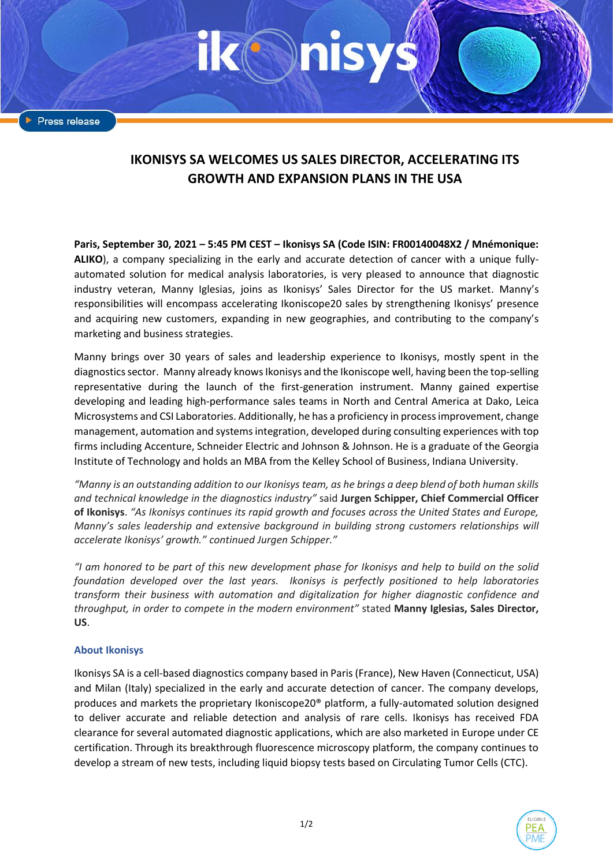Press release

## **IKONISYS SA WELCOMES US SALES DIRECTOR, ACCELERATING ITS GROWTH AND EXPANSION PLANS IN THE USA**

**Paris, September 30, 2021 – 5:45 PM CEST – Ikonisys SA (Code ISIN: FR00140048X2 / Mnémonique: ALIKO**), a company specializing in the early and accurate detection of cancer with a unique fullyautomated solution for medical analysis laboratories, is very pleased to announce that diagnostic industry veteran, Manny Iglesias, joins as Ikonisys' Sales Director for the US market. Manny's responsibilities will encompass accelerating Ikoniscope20 sales by strengthening Ikonisys' presence and acquiring new customers, expanding in new geographies, and contributing to the company's marketing and business strategies.

Manny brings over 30 years of sales and leadership experience to Ikonisys, mostly spent in the diagnostics sector. Manny already knows Ikonisys and the Ikoniscope well, having been the top-selling representative during the launch of the first-generation instrument. Manny gained expertise developing and leading high-performance sales teams in North and Central America at Dako, Leica Microsystems and CSI Laboratories. Additionally, he has a proficiency in process improvement, change management, automation and systems integration, developed during consulting experiences with top firms including Accenture, Schneider Electric and Johnson & Johnson. He is a graduate of the Georgia Institute of Technology and holds an MBA from the Kelley School of Business, Indiana University.

*"Manny is an outstanding addition to our Ikonisys team, as he brings a deep blend of both human skills and technical knowledge in the diagnostics industry"* said **Jurgen Schipper, Chief Commercial Officer of Ikonisys**. *"As Ikonisys continues its rapid growth and focuses across the United States and Europe, Manny's sales leadership and extensive background in building strong customers relationships will accelerate Ikonisys' growth." continued Jurgen Schipper."*

*"I am honored to be part of this new development phase for Ikonisys and help to build on the solid foundation developed over the last years. Ikonisys is perfectly positioned to help laboratories transform their business with automation and digitalization for higher diagnostic confidence and throughput, in order to compete in the modern environment"* stated **Manny Iglesias, Sales Director, US**.

## **About Ikonisys**

Ikonisys SA is a cell-based diagnostics company based in Paris (France), New Haven (Connecticut, USA) and Milan (Italy) specialized in the early and accurate detection of cancer. The company develops, produces and markets the proprietary Ikoniscope20® platform, a fully-automated solution designed to deliver accurate and reliable detection and analysis of rare cells. Ikonisys has received FDA clearance for several automated diagnostic applications, which are also marketed in Europe under CE certification. Through its breakthrough fluorescence microscopy platform, the company continues to develop a stream of new tests, including liquid biopsy tests based on Circulating Tumor Cells (CTC).